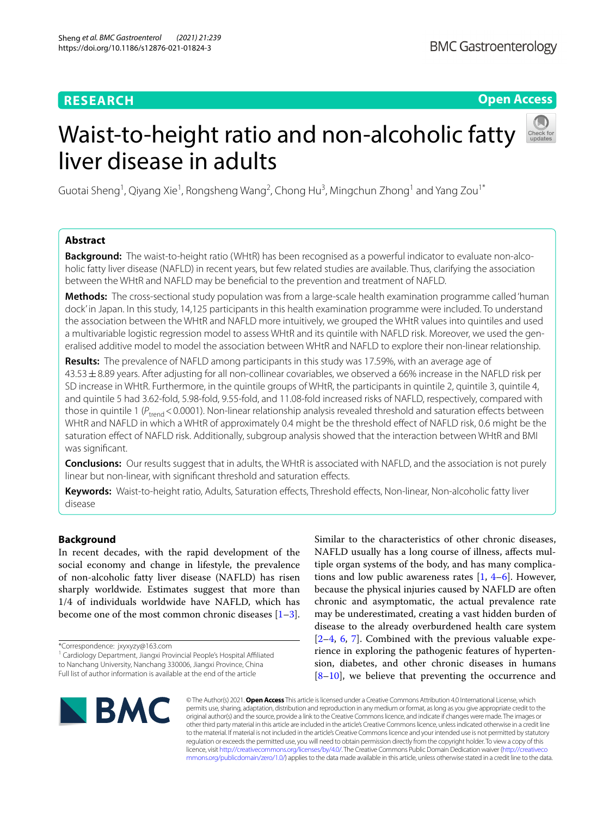# **RESEARCH**

# **Open Access**

# Waist-to-height ratio and non-alcoholic fatty liver disease in adults



Guotai Sheng<sup>1</sup>, Qiyang Xie<sup>1</sup>, Rongsheng Wang<sup>2</sup>, Chong Hu<sup>3</sup>, Mingchun Zhong<sup>1</sup> and Yang Zou<sup>1\*</sup>

# **Abstract**

**Background:** The waist-to-height ratio (WHtR) has been recognised as a powerful indicator to evaluate non-alcoholic fatty liver disease (NAFLD) in recent years, but few related studies are available. Thus, clarifying the association between the WHtR and NAFLD may be benefcial to the prevention and treatment of NAFLD.

**Methods:** The cross-sectional study population was from a large-scale health examination programme called 'human dock' in Japan. In this study, 14,125 participants in this health examination programme were included. To understand the association between the WHtR and NAFLD more intuitively, we grouped the WHtR values into quintiles and used a multivariable logistic regression model to assess WHtR and its quintile with NAFLD risk. Moreover, we used the generalised additive model to model the association between WHtR and NAFLD to explore their non-linear relationship.

**Results:** The prevalence of NAFLD among participants in this study was 17.59%, with an average age of 43.53±8.89 years. After adjusting for all non-collinear covariables, we observed a 66% increase in the NAFLD risk per SD increase in WHtR. Furthermore, in the quintile groups of WHtR, the participants in quintile 2, quintile 3, quintile 4, and quintile 5 had 3.62-fold, 5.98-fold, 9.55-fold, and 11.08-fold increased risks of NAFLD, respectively, compared with those in quintile 1 (*P<sub>trend</sub>* < 0.0001). Non-linear relationship analysis revealed threshold and saturation effects between WHtR and NAFLD in which a WHtR of approximately 0.4 might be the threshold effect of NAFLD risk, 0.6 might be the saturation efect of NAFLD risk. Additionally, subgroup analysis showed that the interaction between WHtR and BMI was signifcant.

**Conclusions:** Our results suggest that in adults, the WHtR is associated with NAFLD, and the association is not purely linear but non-linear, with signifcant threshold and saturation efects.

**Keywords:** Waist-to-height ratio, Adults, Saturation efects, Threshold efects, Non-linear, Non-alcoholic fatty liver disease

# **Background**

In recent decades, with the rapid development of the social economy and change in lifestyle, the prevalence of non-alcoholic fatty liver disease (NAFLD) has risen sharply worldwide. Estimates suggest that more than 1/4 of individuals worldwide have NAFLD, which has become one of the most common chronic diseases  $[1-3]$  $[1-3]$ .

Similar to the characteristics of other chronic diseases, NAFLD usually has a long course of illness, afects multiple organ systems of the body, and has many complications and low public awareness rates  $[1, 4-6]$  $[1, 4-6]$  $[1, 4-6]$  $[1, 4-6]$  $[1, 4-6]$ . However, because the physical injuries caused by NAFLD are often chronic and asymptomatic, the actual prevalence rate may be underestimated, creating a vast hidden burden of disease to the already overburdened health care system  $[2-4, 6, 7]$  $[2-4, 6, 7]$  $[2-4, 6, 7]$  $[2-4, 6, 7]$  $[2-4, 6, 7]$  $[2-4, 6, 7]$  $[2-4, 6, 7]$ . Combined with the previous valuable experience in exploring the pathogenic features of hypertension, diabetes, and other chronic diseases in humans [[8–](#page-6-6)[10\]](#page-6-7), we believe that preventing the occurrence and



© The Author(s) 2021. **Open Access** This article is licensed under a Creative Commons Attribution 4.0 International License, which permits use, sharing, adaptation, distribution and reproduction in any medium or format, as long as you give appropriate credit to the original author(s) and the source, provide a link to the Creative Commons licence, and indicate if changes were made. The images or other third party material in this article are included in the article's Creative Commons licence, unless indicated otherwise in a credit line to the material. If material is not included in the article's Creative Commons licence and your intended use is not permitted by statutory regulation or exceeds the permitted use, you will need to obtain permission directly from the copyright holder. To view a copy of this licence, visit [http://creativecommons.org/licenses/by/4.0/.](http://creativecommons.org/licenses/by/4.0/) The Creative Commons Public Domain Dedication waiver ([http://creativeco](http://creativecommons.org/publicdomain/zero/1.0/) [mmons.org/publicdomain/zero/1.0/](http://creativecommons.org/publicdomain/zero/1.0/)) applies to the data made available in this article, unless otherwise stated in a credit line to the data.

<sup>\*</sup>Correspondence: jxyxyzy@163.com

<sup>&</sup>lt;sup>1</sup> Cardiology Department, Jiangxi Provincial People's Hospital Affiliated to Nanchang University, Nanchang 330006, Jiangxi Province, China Full list of author information is available at the end of the article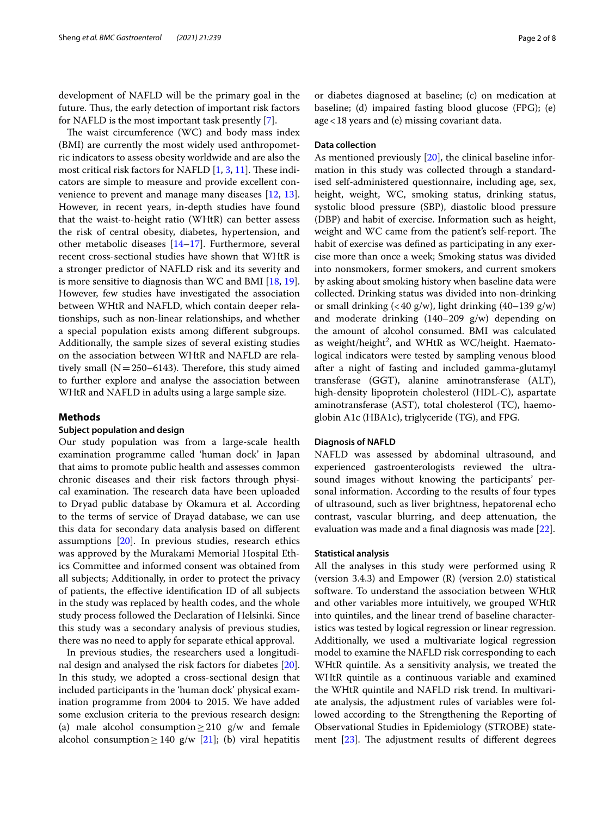development of NAFLD will be the primary goal in the future. Thus, the early detection of important risk factors for NAFLD is the most important task presently [\[7](#page-6-5)].

The waist circumference  $(WC)$  and body mass index (BMI) are currently the most widely used anthropometric indicators to assess obesity worldwide and are also the most critical risk factors for NAFLD  $[1, 3, 11]$  $[1, 3, 11]$  $[1, 3, 11]$  $[1, 3, 11]$  $[1, 3, 11]$ . These indicators are simple to measure and provide excellent convenience to prevent and manage many diseases [\[12,](#page-6-9) [13](#page-6-10)]. However, in recent years, in-depth studies have found that the waist-to-height ratio (WHtR) can better assess the risk of central obesity, diabetes, hypertension, and other metabolic diseases [\[14–](#page-6-11)[17\]](#page-7-0). Furthermore, several recent cross-sectional studies have shown that WHtR is a stronger predictor of NAFLD risk and its severity and is more sensitive to diagnosis than WC and BMI [[18,](#page-7-1) [19](#page-7-2)]. However, few studies have investigated the association between WHtR and NAFLD, which contain deeper relationships, such as non-linear relationships, and whether a special population exists among diferent subgroups. Additionally, the sample sizes of several existing studies on the association between WHtR and NAFLD are relatively small ( $N=250-6143$ ). Therefore, this study aimed to further explore and analyse the association between WHtR and NAFLD in adults using a large sample size.

# **Methods**

# **Subject population and design**

Our study population was from a large-scale health examination programme called 'human dock' in Japan that aims to promote public health and assesses common chronic diseases and their risk factors through physical examination. The research data have been uploaded to Dryad public database by Okamura et al. According to the terms of service of Drayad database, we can use this data for secondary data analysis based on diferent assumptions [\[20](#page-7-3)]. In previous studies, research ethics was approved by the Murakami Memorial Hospital Ethics Committee and informed consent was obtained from all subjects; Additionally, in order to protect the privacy of patients, the efective identifcation ID of all subjects in the study was replaced by health codes, and the whole study process followed the Declaration of Helsinki. Since this study was a secondary analysis of previous studies, there was no need to apply for separate ethical approval.

In previous studies, the researchers used a longitudinal design and analysed the risk factors for diabetes [\[20](#page-7-3)]. In this study, we adopted a cross-sectional design that included participants in the 'human dock' physical examination programme from 2004 to 2015. We have added some exclusion criteria to the previous research design: (a) male alcohol consumption  $\geq$  210 g/w and female alcohol consumption≥140  $g/w$  [[21\]](#page-7-4); (b) viral hepatitis

or diabetes diagnosed at baseline; (c) on medication at baseline; (d) impaired fasting blood glucose (FPG); (e) age<18 years and (e) missing covariant data.

# **Data collection**

As mentioned previously [[20\]](#page-7-3), the clinical baseline information in this study was collected through a standardised self-administered questionnaire, including age, sex, height, weight, WC, smoking status, drinking status, systolic blood pressure (SBP), diastolic blood pressure (DBP) and habit of exercise. Information such as height, weight and WC came from the patient's self-report. The habit of exercise was defned as participating in any exercise more than once a week; Smoking status was divided into nonsmokers, former smokers, and current smokers by asking about smoking history when baseline data were collected. Drinking status was divided into non-drinking or small drinking  $\left(< 40 \frac{\text{g}}{\text{w}}\right)$ , light drinking  $\left(40-139 \frac{\text{g}}{\text{w}}\right)$ and moderate drinking (140–209 g/w) depending on the amount of alcohol consumed. BMI was calculated as weight/height<sup>2</sup>, and WHtR as WC/height. Haematological indicators were tested by sampling venous blood after a night of fasting and included gamma-glutamyl transferase (GGT), alanine aminotransferase (ALT), high-density lipoprotein cholesterol (HDL-C), aspartate aminotransferase (AST), total cholesterol (TC), haemoglobin A1c (HBA1c), triglyceride (TG), and FPG.

## **Diagnosis of NAFLD**

NAFLD was assessed by abdominal ultrasound, and experienced gastroenterologists reviewed the ultrasound images without knowing the participants' personal information. According to the results of four types of ultrasound, such as liver brightness, hepatorenal echo contrast, vascular blurring, and deep attenuation, the evaluation was made and a fnal diagnosis was made [[22](#page-7-5)].

#### **Statistical analysis**

All the analyses in this study were performed using R (version 3.4.3) and Empower (R) (version 2.0) statistical software. To understand the association between WHtR and other variables more intuitively, we grouped WHtR into quintiles, and the linear trend of baseline characteristics was tested by logical regression or linear regression. Additionally, we used a multivariate logical regression model to examine the NAFLD risk corresponding to each WHtR quintile. As a sensitivity analysis, we treated the WHtR quintile as a continuous variable and examined the WHtR quintile and NAFLD risk trend. In multivariate analysis, the adjustment rules of variables were followed according to the Strengthening the Reporting of Observational Studies in Epidemiology (STROBE) statement  $[23]$  $[23]$ . The adjustment results of different degrees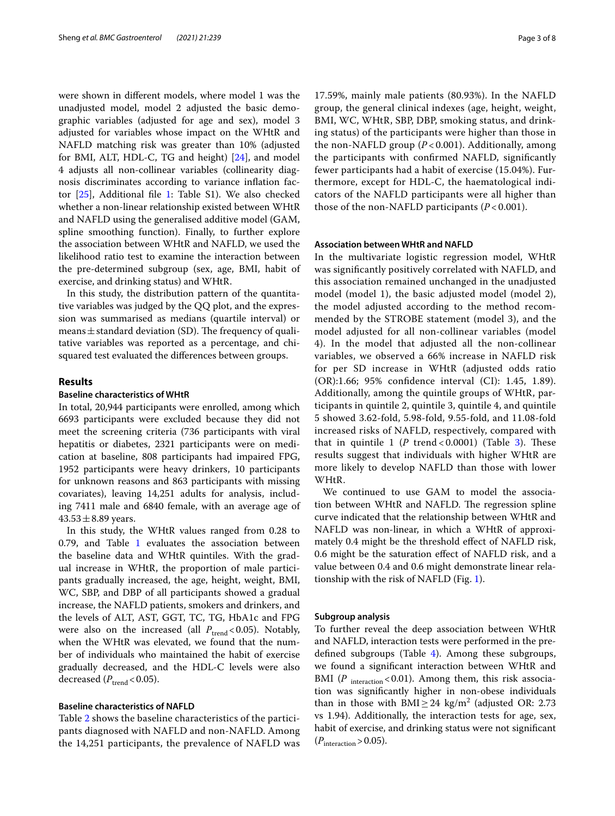were shown in diferent models, where model 1 was the unadjusted model, model 2 adjusted the basic demographic variables (adjusted for age and sex), model 3 adjusted for variables whose impact on the WHtR and NAFLD matching risk was greater than 10% (adjusted for BMI, ALT, HDL-C, TG and height) [\[24](#page-7-7)], and model 4 adjusts all non-collinear variables (collinearity diagnosis discriminates according to variance infation factor [\[25](#page-7-8)], Additional fle [1:](#page-6-12) Table S1). We also checked whether a non-linear relationship existed between WHtR and NAFLD using the generalised additive model (GAM, spline smoothing function). Finally, to further explore the association between WHtR and NAFLD, we used the likelihood ratio test to examine the interaction between the pre-determined subgroup (sex, age, BMI, habit of exercise, and drinking status) and WHtR.

In this study, the distribution pattern of the quantitative variables was judged by the QQ plot, and the expression was summarised as medians (quartile interval) or means  $\pm$  standard deviation (SD). The frequency of qualitative variables was reported as a percentage, and chisquared test evaluated the diferences between groups.

# **Results**

# **Baseline characteristics of WHtR**

In total, 20,944 participants were enrolled, among which 6693 participants were excluded because they did not meet the screening criteria (736 participants with viral hepatitis or diabetes, 2321 participants were on medication at baseline, 808 participants had impaired FPG, 1952 participants were heavy drinkers, 10 participants for unknown reasons and 863 participants with missing covariates), leaving 14,251 adults for analysis, including 7411 male and 6840 female, with an average age of  $43.53 \pm 8.89$  years.

In this study, the WHtR values ranged from 0.28 to 0.79, and Table [1](#page-3-0) evaluates the association between the baseline data and WHtR quintiles. With the gradual increase in WHtR, the proportion of male participants gradually increased, the age, height, weight, BMI, WC, SBP, and DBP of all participants showed a gradual increase, the NAFLD patients, smokers and drinkers, and the levels of ALT, AST, GGT, TC, TG, HbA1c and FPG were also on the increased (all  $P_{\text{trend}} < 0.05$ ). Notably, when the WHtR was elevated, we found that the number of individuals who maintained the habit of exercise gradually decreased, and the HDL-C levels were also decreased  $(P_{\text{trend}} < 0.05)$ .

## **Baseline characteristics of NAFLD**

Table [2](#page-4-0) shows the baseline characteristics of the participants diagnosed with NAFLD and non-NAFLD. Among the 14,251 participants, the prevalence of NAFLD was

17.59%, mainly male patients (80.93%). In the NAFLD group, the general clinical indexes (age, height, weight, BMI, WC, WHtR, SBP, DBP, smoking status, and drinking status) of the participants were higher than those in the non-NAFLD group (*P* < 0.001). Additionally, among the participants with confrmed NAFLD, signifcantly fewer participants had a habit of exercise (15.04%). Furthermore, except for HDL-C, the haematological indicators of the NAFLD participants were all higher than those of the non-NAFLD participants (*P* < 0.001).

# **Association between WHtR and NAFLD**

In the multivariate logistic regression model, WHtR was signifcantly positively correlated with NAFLD, and this association remained unchanged in the unadjusted model (model 1), the basic adjusted model (model 2), the model adjusted according to the method recommended by the STROBE statement (model 3), and the model adjusted for all non-collinear variables (model 4). In the model that adjusted all the non-collinear variables, we observed a 66% increase in NAFLD risk for per SD increase in WHtR (adjusted odds ratio (OR):1.66; 95% confdence interval (CI): 1.45, 1.89). Additionally, among the quintile groups of WHtR, participants in quintile 2, quintile 3, quintile 4, and quintile 5 showed 3.62-fold, 5.98-fold, 9.55-fold, and 11.08-fold increased risks of NAFLD, respectively, compared with that in quintile  $1$  ( $P$  trend < 0.0001) (Table  $3$ ). These results suggest that individuals with higher WHtR are more likely to develop NAFLD than those with lower WHtR.

We continued to use GAM to model the association between WHtR and NAFLD. The regression spline curve indicated that the relationship between WHtR and NAFLD was non-linear, in which a WHtR of approximately 0.4 might be the threshold efect of NAFLD risk, 0.6 might be the saturation efect of NAFLD risk, and a value between 0.4 and 0.6 might demonstrate linear relationship with the risk of NAFLD (Fig. [1](#page-5-0)).

#### **Subgroup analysis**

To further reveal the deep association between WHtR and NAFLD, interaction tests were performed in the predefned subgroups (Table [4](#page-5-1)). Among these subgroups, we found a signifcant interaction between WHtR and BMI (P<sub>interaction</sub> < 0.01). Among them, this risk association was signifcantly higher in non-obese individuals than in those with  $\text{BMI} \geq 24 \text{ kg/m}^2$  (adjusted OR: 2.73 vs 1.94). Additionally, the interaction tests for age, sex, habit of exercise, and drinking status were not signifcant  $(P_{\text{interaction}} > 0.05)$ .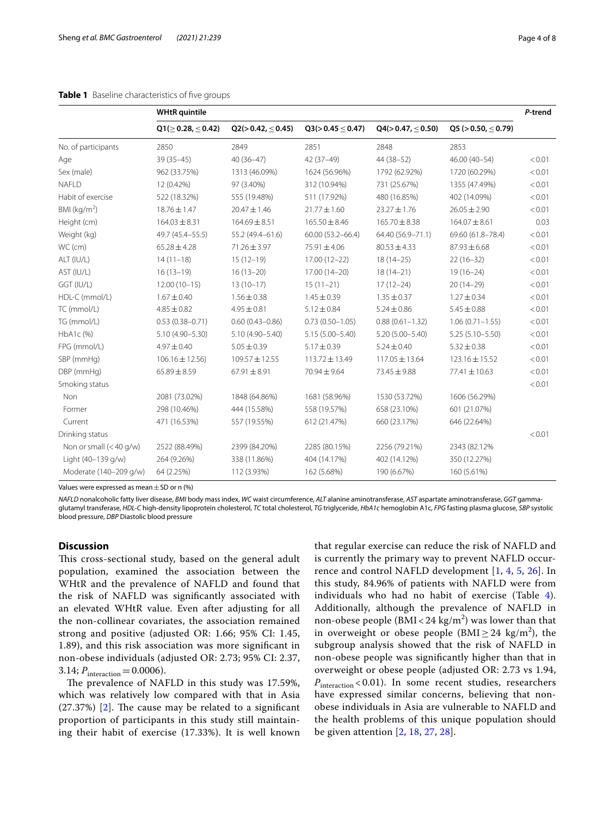<span id="page-3-0"></span>

|                           | <b>WHtR</b> quintile       |                            |                     |                             | P-trend             |        |
|---------------------------|----------------------------|----------------------------|---------------------|-----------------------------|---------------------|--------|
|                           | $Q1(\geq 0.28, \leq 0.42)$ | Q2(>0.42, <sub>0.45)</sub> | Q3(>0.45 < 0.47)    | Q4(>0.47, <sub>0.50</sub> ) | Q5 (> 0.50, < 0.79) |        |
| No. of participants       | 2850                       | 2849                       | 2851                | 2848                        | 2853                |        |
| Age                       | $39(35-45)$                | $40(36-47)$                | 42 (37-49)          | 44 (38-52)                  | $46.00(40-54)$      | < 0.01 |
| Sex (male)                | 962 (33.75%)               | 1313 (46.09%)              | 1624 (56.96%)       | 1792 (62.92%)               | 1720 (60.29%)       | < 0.01 |
| <b>NAFLD</b>              | 12 (0.42%)                 | 97 (3.40%)                 | 312 (10.94%)        | 731 (25.67%)                | 1355 (47.49%)       | < 0.01 |
| Habit of exercise         | 522 (18.32%)               | 555 (19.48%)               | 511 (17.92%)        | 480 (16.85%)                | 402 (14.09%)        | < 0.01 |
| BMI ( $kg/m2$ )           | 18.76 ± 1.47               | $20.47 \pm 1.46$           | $21.77 \pm 1.60$    | $23.27 \pm 1.76$            | $26.05 \pm 2.90$    | < 0.01 |
| Height (cm)               | $164.03 \pm 8.31$          | $164.69 \pm 8.51$          | $165.50 \pm 8.46$   | $165.70 \pm 8.38$           | $164.07 \pm 8.61$   | 0.03   |
| Weight (kg)               | 49.7 (45.4-55.5)           | 55.2 (49.4-61.6)           | 60.00 (53.2-66.4)   | 64.40 (56.9-71.1)           | 69.60 (61.8-78.4)   | < 0.01 |
| WC (cm)                   | $65.28 \pm 4.28$           | $71.26 \pm 3.97$           | $75.91 \pm 4.06$    | $80.53 \pm 4.33$            | $87.93 \pm 6.68$    | < 0.01 |
| ALT (IU/L)                | $14(11-18)$                | $15(12-19)$                | 17.00 (12-22)       | $18(14-25)$                 | $22(16-32)$         | < 0.01 |
| AST (IU/L)                | $16(13-19)$                | $16(13-20)$                | 17.00 (14-20)       | $18(14-21)$                 | $19(16 - 24)$       | < 0.01 |
| GGT (IU/L)                | $12.00(10-15)$             | $13(10-17)$                | $15(11-21)$         | $17(12 - 24)$               | $20(14-29)$         | < 0.01 |
| HDL-C (mmol/L)            | $1.67 \pm 0.40$            | $1.56 \pm 0.38$            | $1.45 \pm 0.39$     | $1.35 \pm 0.37$             | $1.27 \pm 0.34$     | < 0.01 |
| TC (mmol/L)               | $4.85 \pm 0.82$            | $4.95 \pm 0.81$            | $5.12 \pm 0.84$     | $5.24 \pm 0.86$             | $5.45 \pm 0.88$     | < 0.01 |
| TG (mmol/L)               | $0.53(0.38 - 0.71)$        | $0.60(0.43 - 0.86)$        | $0.73(0.50 - 1.05)$ | $0.88(0.61 - 1.32)$         | $1.06(0.71 - 1.55)$ | < 0.01 |
| HbA1c (%)                 | 5.10 (4.90-5.30)           | 5.10 (4.90-5.40)           | $5.15(5.00 - 5.40)$ | $5.20(5.00 - 5.40)$         | $5.25(5.10 - 5.50)$ | < 0.01 |
| FPG (mmol/L)              | $4.97 \pm 0.40$            | $5.05 \pm 0.39$            | $5.17 \pm 0.39$     | $5.24 \pm 0.40$             | $5.32 \pm 0.38$     | < 0.01 |
| SBP (mmHg)                | $106.16 \pm 12.56$         | 109.57 ± 12.55             | $113.72 \pm 13.49$  | $117.05 \pm 13.64$          | 123.16 ± 15.52      | < 0.01 |
| DBP (mmHg)                | $65.89 \pm 8.59$           | $67.91 \pm 8.91$           | 70.94 ± 9.64        | 73.45 ± 9.88                | 77.41 ± 10.63       | < 0.01 |
| Smoking status            |                            |                            |                     |                             |                     | < 0.01 |
| Non                       | 2081 (73.02%)              | 1848 (64.86%)              | 1681 (58.96%)       | 1530 (53.72%)               | 1606 (56.29%)       |        |
| Former                    | 298 (10.46%)               | 444 (15.58%)               | 558 (19.57%)        | 658 (23.10%)                | 601 (21.07%)        |        |
| Current                   | 471 (16.53%)               | 557 (19.55%)               | 612 (21.47%)        | 660 (23.17%)                | 646 (22.64%)        |        |
| Drinking status           |                            |                            |                     |                             |                     | < 0.01 |
| Non or small $(<$ 40 g/w) | 2522 (88.49%)              | 2399 (84.20%)              | 2285 (80.15%)       | 2256 (79.21%)               | 2343 (82.12%        |        |
| Light (40-139 g/w)        | 264 (9.26%)                | 338 (11.86%)               | 404 (14.17%)        | 402 (14.12%)                | 350 (12.27%)        |        |
| Moderate (140-209 g/w)    | 64 (2.25%)                 | 112 (3.93%)                | 162 (5.68%)         | 190 (6.67%)                 | 160 (5.61%)         |        |

Values were expressed as mean±SD or n (%)

*NAFLD* nonalcoholic fatty liver disease, *BMI* body mass index, *WC* waist circumference, *ALT* alanine aminotransferase, *AST* aspartate aminotransferase, *GGT* gammaglutamyl transferase, *HDL-C* high-density lipoprotein cholesterol, *TC* total cholesterol, *TG* triglyceride, *HbA1c* hemoglobin A1c, *FPG* fasting plasma glucose, *SBP* systolic blood pressure, *DBP* Diastolic blood pressure

# **Discussion**

This cross-sectional study, based on the general adult population, examined the association between the WHtR and the prevalence of NAFLD and found that the risk of NAFLD was signifcantly associated with an elevated WHtR value. Even after adjusting for all the non-collinear covariates, the association remained strong and positive (adjusted OR: 1.66; 95% CI: 1.45, 1.89), and this risk association was more signifcant in non-obese individuals (adjusted OR: 2.73; 95% CI: 2.37, 3.14;  $P_{\text{interaction}} = 0.0006$ .

The prevalence of NAFLD in this study was 17.59%, which was relatively low compared with that in Asia  $(27.37%)$   $[2]$  $[2]$ . The cause may be related to a significant proportion of participants in this study still maintaining their habit of exercise (17.33%). It is well known that regular exercise can reduce the risk of NAFLD and is currently the primary way to prevent NAFLD occurrence and control NAFLD development [[1,](#page-6-0) [4](#page-6-2), [5,](#page-6-13) [26](#page-7-9)]. In this study, 84.96% of patients with NAFLD were from individuals who had no habit of exercise (Table [4\)](#page-5-1). Additionally, although the prevalence of NAFLD in non-obese people (BMI <  $24 \text{ kg/m}^2$ ) was lower than that in overweight or obese people (BMI $\geq$  24 kg/m<sup>2</sup>), the subgroup analysis showed that the risk of NAFLD in non-obese people was signifcantly higher than that in overweight or obese people (adjusted OR: 2.73 vs 1.94, *P*interaction < 0.01). In some recent studies, researchers have expressed similar concerns, believing that nonobese individuals in Asia are vulnerable to NAFLD and the health problems of this unique population should be given attention [\[2](#page-6-4), [18](#page-7-1), [27](#page-7-10), [28](#page-7-11)].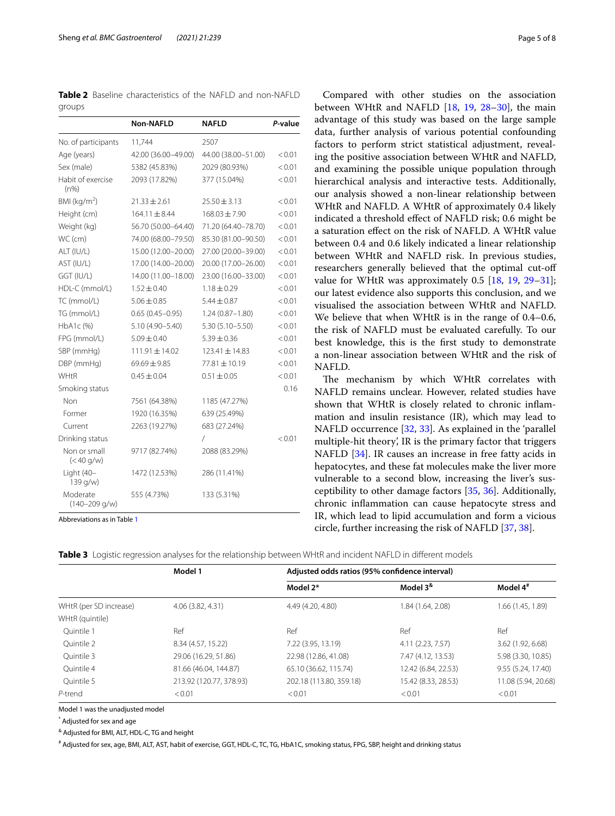<span id="page-4-0"></span>**Table 2** Baseline characteristics of the NAFLD and non-NAFLD groups

|                                | <b>Non-NAFLD</b>    | NAFLD               | P-value |
|--------------------------------|---------------------|---------------------|---------|
| No. of participants            | 11,744              | 2507                |         |
| Age (years)                    | 42.00 (36.00-49.00) | 44.00 (38.00-51.00) | < 0.01  |
| Sex (male)                     | 5382 (45.83%)       | 2029 (80.93%)       | < 0.01  |
| Habit of exercise<br>$(n\%)$   | 2093 (17.82%)       | 377 (15.04%)        | < 0.01  |
| BMI ( $kg/m2$ )                | $21.33 \pm 2.61$    | $25.50 \pm 3.13$    | < 0.01  |
| Height (cm)                    | $164.11 \pm 8.44$   | $168.03 \pm 7.90$   | < 0.01  |
| Weight (kg)                    | 56.70 (50.00-64.40) | 71.20 (64.40-78.70) | < 0.01  |
| WC (cm)                        | 74.00 (68.00-79.50) | 85.30 (81.00-90.50) | < 0.01  |
| ALT (IU/L)                     | 15.00 (12.00-20.00) | 27.00 (20.00-39.00) | < 0.01  |
| AST (IU/L)                     | 17.00 (14.00-20.00) | 20.00 (17.00-26.00) | < 0.01  |
| GGT (IU/L)                     | 14.00 (11.00-18.00) | 23.00 (16.00-33.00) | < 0.01  |
| HDL-C (mmol/L)                 | $1.52 \pm 0.40$     | $1.18 \pm 0.29$     | < 0.01  |
| TC (mmol/L)                    | $5.06 \pm 0.85$     | $5.44 \pm 0.87$     | < 0.01  |
| TG (mmol/L)                    | $0.65(0.45 - 0.95)$ | $1.24(0.87 - 1.80)$ | < 0.01  |
| HbA1c (%)                      | $5.10(4.90 - 5.40)$ | $5.30(5.10 - 5.50)$ | < 0.01  |
| FPG (mmol/L)                   | $5.09 \pm 0.40$     | $5.39 \pm 0.36$     | < 0.01  |
| SBP (mmHg)                     | $111.91 \pm 14.02$  | $123.41 \pm 14.83$  | < 0.01  |
| DBP (mmHg)                     | $69.69 \pm 9.85$    | $77.81 \pm 10.19$   | < 0.01  |
| WHtR                           | $0.45 \pm 0.04$     | $0.51 \pm 0.05$     | < 0.01  |
| Smoking status                 |                     |                     | 0.16    |
| Non                            | 7561 (64.38%)       | 1185 (47.27%)       |         |
| Former                         | 1920 (16.35%)       | 639 (25.49%)        |         |
| Current                        | 2263 (19.27%)       | 683 (27.24%)        |         |
| Drinking status                |                     | $\prime$            | < 0.01  |
| Non or small<br>$(< 40$ g/w)   | 9717 (82.74%)       | 2088 (83.29%)       |         |
| Light (40-<br>139 g/w)         | 1472 (12.53%)       | 286 (11.41%)        |         |
| Moderate<br>$(140 - 209)$ g/w) | 555 (4.73%)         | 133 (5.31%)         |         |

Abbreviations as in Table [1](#page-3-0)

Compared with other studies on the association between WHtR and NAFLD [\[18](#page-7-1), [19](#page-7-2), [28](#page-7-11)[–30](#page-7-12)], the main advantage of this study was based on the large sample data, further analysis of various potential confounding factors to perform strict statistical adjustment, revealing the positive association between WHtR and NAFLD, and examining the possible unique population through hierarchical analysis and interactive tests. Additionally, our analysis showed a non-linear relationship between WHtR and NAFLD. A WHtR of approximately 0.4 likely indicated a threshold efect of NAFLD risk; 0.6 might be a saturation efect on the risk of NAFLD. A WHtR value between 0.4 and 0.6 likely indicated a linear relationship between WHtR and NAFLD risk. In previous studies, researchers generally believed that the optimal cut-of value for WHtR was approximately 0.5 [[18,](#page-7-1) [19,](#page-7-2) [29](#page-7-13)-31]; our latest evidence also supports this conclusion, and we visualised the association between WHtR and NAFLD. We believe that when WHtR is in the range of 0.4–0.6, the risk of NAFLD must be evaluated carefully. To our best knowledge, this is the frst study to demonstrate a non-linear association between WHtR and the risk of NAFLD.

The mechanism by which WHtR correlates with NAFLD remains unclear. However, related studies have shown that WHtR is closely related to chronic infammation and insulin resistance (IR), which may lead to NAFLD occurrence [[32](#page-7-15), [33](#page-7-16)]. As explained in the 'parallel multiple-hit theory', IR is the primary factor that triggers NAFLD [[34\]](#page-7-17). IR causes an increase in free fatty acids in hepatocytes, and these fat molecules make the liver more vulnerable to a second blow, increasing the liver's susceptibility to other damage factors [\[35,](#page-7-18) [36\]](#page-7-19). Additionally, chronic infammation can cause hepatocyte stress and IR, which lead to lipid accumulation and form a vicious circle, further increasing the risk of NAFLD [\[37](#page-7-20), [38\]](#page-7-21).

<span id="page-4-1"></span>**Table 3** Logistic regression analyses for the relationship between WHtR and incident NAFLD in diferent models

|                                           | Model 1                 | Adjusted odds ratios (95% confidence interval) |                          |                      |  |
|-------------------------------------------|-------------------------|------------------------------------------------|--------------------------|----------------------|--|
|                                           |                         | Model 2*                                       | Model 3 <sup>&amp;</sup> | Model 4 <sup>#</sup> |  |
| WHtR (per SD increase)<br>WHtR (quintile) | 4.06 (3.82, 4.31)       | 4.49 (4.20, 4.80)                              | 1.84 (1.64, 2.08)        | 1.66 (1.45, 1.89)    |  |
| Ouintile 1                                | Ref                     | Ref                                            | Ref                      | Ref                  |  |
| Ouintile 2                                | 8.34 (4.57, 15.22)      | 7.22 (3.95, 13.19)                             | 4.11 (2.23, 7.57)        | 3.62 (1.92, 6.68)    |  |
| Ouintile 3                                | 29.06 (16.29, 51.86)    | 22.98 (12.86, 41.08)                           | 7.47 (4.12, 13.53)       | 5.98 (3.30, 10.85)   |  |
| Ouintile 4                                | 81.66 (46.04, 144.87)   | 65.10 (36.62, 115.74)                          | 12.42 (6.84, 22.53)      | 9.55 (5.24, 17.40)   |  |
| Ouintile 5                                | 213.92 (120.77, 378.93) | 202.18 (113.80, 359.18)                        | 15.42 (8.33, 28.53)      | 11.08 (5.94, 20.68)  |  |
| P-trend                                   | < 0.01                  | < 0.01                                         | < 0.01                   | < 0.01               |  |

Model 1 was the unadjusted model

\* Adjusted for sex and age

& Adjusted for BMI, ALT, HDL-C, TG and height

# Adjusted for sex, age, BMI, ALT, AST, habit of exercise, GGT, HDL-C, TC, TG, HbA1C, smoking status, FPG, SBP, height and drinking status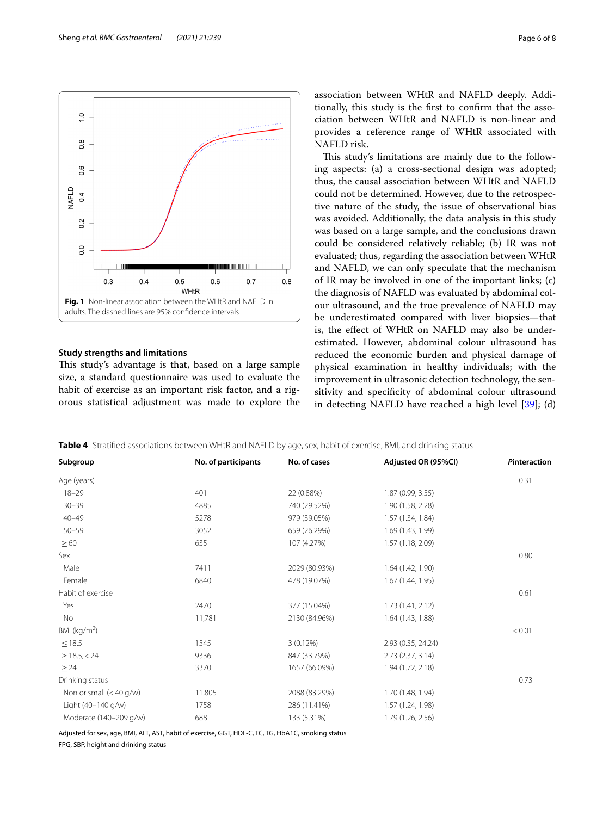

# <span id="page-5-0"></span>**Study strengths and limitations**

This study's advantage is that, based on a large sample size, a standard questionnaire was used to evaluate the habit of exercise as an important risk factor, and a rigorous statistical adjustment was made to explore the association between WHtR and NAFLD deeply. Additionally, this study is the frst to confrm that the association between WHtR and NAFLD is non-linear and provides a reference range of WHtR associated with NAFLD risk.

This study's limitations are mainly due to the following aspects: (a) a cross-sectional design was adopted; thus, the causal association between WHtR and NAFLD could not be determined. However, due to the retrospective nature of the study, the issue of observational bias was avoided. Additionally, the data analysis in this study was based on a large sample, and the conclusions drawn could be considered relatively reliable; (b) IR was not evaluated; thus, regarding the association between WHtR and NAFLD, we can only speculate that the mechanism of IR may be involved in one of the important links; (c) the diagnosis of NAFLD was evaluated by abdominal colour ultrasound, and the true prevalence of NAFLD may be underestimated compared with liver biopsies—that is, the efect of WHtR on NAFLD may also be underestimated. However, abdominal colour ultrasound has reduced the economic burden and physical damage of physical examination in healthy individuals; with the improvement in ultrasonic detection technology, the sensitivity and specifcity of abdominal colour ultrasound in detecting NAFLD have reached a high level [\[39](#page-7-22)]; (d)

<span id="page-5-1"></span>**Table 4** Stratifed associations between WHtR and NAFLD by age, sex, habit of exercise, BMI, and drinking status

| Subgroup               | No. of participants | No. of cases  | Adjusted OR (95%CI) | Pinteraction |
|------------------------|---------------------|---------------|---------------------|--------------|
| Age (years)            |                     |               |                     | 0.31         |
| $18 - 29$              | 401                 | 22 (0.88%)    | 1.87(0.99, 3.55)    |              |
| $30 - 39$              | 4885                | 740 (29.52%)  | 1.90 (1.58, 2.28)   |              |
| $40 - 49$              | 5278                | 979 (39.05%)  | 1.57 (1.34, 1.84)   |              |
| $50 - 59$              | 3052                | 659 (26.29%)  | 1.69 (1.43, 1.99)   |              |
| $\geq 60$              | 635                 | 107 (4.27%)   | 1.57 (1.18, 2.09)   |              |
| Sex                    |                     |               |                     | 0.80         |
| Male                   | 7411                | 2029 (80.93%) | 1.64 (1.42, 1.90)   |              |
| Female                 | 6840                | 478 (19.07%)  | 1.67 (1.44, 1.95)   |              |
| Habit of exercise      |                     |               |                     | 0.61         |
| Yes                    | 2470                | 377 (15.04%)  | 1.73(1.41, 2.12)    |              |
| No                     | 11,781              | 2130 (84.96%) | 1.64 (1.43, 1.88)   |              |
| BMI ( $kg/m2$ )        |                     |               |                     | < 0.01       |
| $\leq$ 18.5            | 1545                | $3(0.12\%)$   | 2.93 (0.35, 24.24)  |              |
| $\geq$ 18.5, < 24      | 9336                | 847 (33.79%)  | 2.73(2.37, 3.14)    |              |
| $\geq$ 24              | 3370                | 1657 (66.09%) | 1.94 (1.72, 2.18)   |              |
| Drinking status        |                     |               |                     | 0.73         |
| Non or small (<40 g/w) | 11,805              | 2088 (83.29%) | 1.70 (1.48, 1.94)   |              |
| Light (40-140 g/w)     | 1758                | 286 (11.41%)  | 1.57 (1.24, 1.98)   |              |
| Moderate (140-209 g/w) | 688                 | 133 (5.31%)   | 1.79 (1.26, 2.56)   |              |

Adjusted for sex, age, BMI, ALT, AST, habit of exercise, GGT, HDL-C, TC, TG, HbA1C, smoking status

FPG, SBP, height and drinking status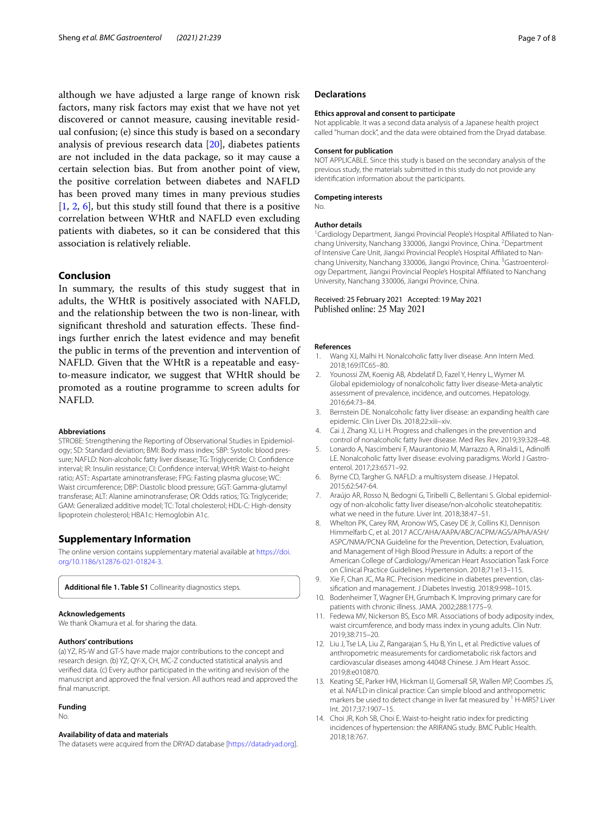although we have adjusted a large range of known risk factors, many risk factors may exist that we have not yet discovered or cannot measure, causing inevitable residual confusion; (e) since this study is based on a secondary analysis of previous research data [[20\]](#page-7-3), diabetes patients are not included in the data package, so it may cause a certain selection bias. But from another point of view, the positive correlation between diabetes and NAFLD has been proved many times in many previous studies  $[1, 2, 6]$  $[1, 2, 6]$  $[1, 2, 6]$  $[1, 2, 6]$  $[1, 2, 6]$  $[1, 2, 6]$  $[1, 2, 6]$ , but this study still found that there is a positive correlation between WHtR and NAFLD even excluding patients with diabetes, so it can be considered that this association is relatively reliable.

# **Conclusion**

In summary, the results of this study suggest that in adults, the WHtR is positively associated with NAFLD, and the relationship between the two is non-linear, with significant threshold and saturation effects. These findings further enrich the latest evidence and may beneft the public in terms of the prevention and intervention of NAFLD. Given that the WHtR is a repeatable and easyto-measure indicator, we suggest that WHtR should be promoted as a routine programme to screen adults for NAFLD.

#### **Abbreviations**

STROBE: Strengthening the Reporting of Observational Studies in Epidemiology; SD: Standard deviation; BMI: Body mass index; SBP: Systolic blood pressure; NAFLD: Non-alcoholic fatty liver disease; TG: Triglyceride; CI: Confdence interval; IR: Insulin resistance; CI: Confdence interval; WHtR: Waist-to-height ratio; AST:: Aspartate aminotransferase; FPG: Fasting plasma glucose; WC: Waist circumference; DBP: Diastolic blood pressure; GGT: Gamma-glutamyl transferase; ALT: Alanine aminotransferase; OR: Odds ratios; TG: Triglyceride; GAM: Generalized additive model; TC: Total cholesterol; HDL-C: High-density lipoprotein cholesterol; HBA1c: Hemoglobin A1c.

# **Supplementary Information**

The online version contains supplementary material available at [https://doi.](https://doi.org/10.1186/s12876-021-01824-3) [org/10.1186/s12876-021-01824-3](https://doi.org/10.1186/s12876-021-01824-3).

<span id="page-6-12"></span>**Additional fle 1. Table S1** Collinearity diagnostics steps.

#### **Acknowledgements**

We thank Okamura et al. for sharing the data.

## **Authors' contributions**

(a) YZ, RS-W and GT-S have made major contributions to the concept and research design. (b) YZ, QY-X, CH, MC-Z conducted statistical analysis and verifed data. (c) Every author participated in the writing and revision of the manuscript and approved the fnal version. All authors read and approved the final manuscript.

#### **Funding**

No.

#### **Availability of data and materials**

The datasets were acquired from the DRYAD database [\[https://datadryad.org](https://datadryad.org)].

# **Declarations**

#### **Ethics approval and consent to participate**

Not applicable. It was a second data analysis of a Japanese health project called "human dock", and the data were obtained from the Dryad database.

## **Consent for publication**

NOT APPLICABLE. Since this study is based on the secondary analysis of the previous study, the materials submitted in this study do not provide any identifcation information about the participants.

#### **Competing interests**

No.

#### **Author details**

<sup>1</sup> Cardiology Department, Jiangxi Provincial People's Hospital Affiliated to Nanchang University, Nanchang 330006, Jiangxi Province, China. <sup>2</sup>Department of Intensive Care Unit, Jiangxi Provincial People's Hospital Afliated to Nanchang University, Nanchang 330006, Jiangxi Province, China. <sup>3</sup>Gastroenterology Department, Jiangxi Provincial People's Hospital Afliated to Nanchang University, Nanchang 330006, Jiangxi Province, China.

## Received: 25 February 2021 Accepted: 19 May 2021 Published online: 25 May 2021

#### **References**

- <span id="page-6-0"></span>1. Wang XJ, Malhi H. Nonalcoholic fatty liver disease. Ann Intern Med. 2018;169:ITC65–80.
- <span id="page-6-4"></span>2. Younossi ZM, Koenig AB, Abdelatif D, Fazel Y, Henry L, Wymer M. Global epidemiology of nonalcoholic fatty liver disease-Meta-analytic assessment of prevalence, incidence, and outcomes. Hepatology. 2016;64:73–84.
- <span id="page-6-1"></span>3. Bernstein DE. Nonalcoholic fatty liver disease: an expanding health care epidemic. Clin Liver Dis. 2018;22:xiii–xiv.
- <span id="page-6-2"></span>4. Cai J, Zhang XJ, Li H. Progress and challenges in the prevention and control of nonalcoholic fatty liver disease. Med Res Rev. 2019;39:328–48.
- <span id="page-6-13"></span>5. Lonardo A, Nascimbeni F, Maurantonio M, Marrazzo A, Rinaldi L, Adinolf LE. Nonalcoholic fatty liver disease: evolving paradigms. World J Gastroenterol. 2017;23:6571–92.
- <span id="page-6-3"></span>6. Byrne CD, Targher G. NAFLD: a multisystem disease. J Hepatol. 2015;62:S47-64.
- <span id="page-6-5"></span>7. Araújo AR, Rosso N, Bedogni G, Tiribelli C, Bellentani S. Global epidemiology of non-alcoholic fatty liver disease/non-alcoholic steatohepatitis: what we need in the future. Liver Int. 2018;38:47–51.
- <span id="page-6-6"></span>8. Whelton PK, Carey RM, Aronow WS, Casey DE Jr, Collins KJ, Dennison Himmelfarb C, et al. 2017 ACC/AHA/AAPA/ABC/ACPM/AGS/APhA/ASH/ ASPC/NMA/PCNA Guideline for the Prevention, Detection, Evaluation, and Management of High Blood Pressure in Adults: a report of the American College of Cardiology/American Heart Association Task Force on Clinical Practice Guidelines. Hypertension. 2018;71:e13–115.
- 9. Xie F, Chan JC, Ma RC. Precision medicine in diabetes prevention, classifcation and management. J Diabetes Investig. 2018;9:998–1015.
- <span id="page-6-7"></span>10. Bodenheimer T, Wagner EH, Grumbach K. Improving primary care for patients with chronic illness. JAMA. 2002;288:1775–9.
- <span id="page-6-8"></span>11. Fedewa MV, Nickerson BS, Esco MR. Associations of body adiposity index, waist circumference, and body mass index in young adults. Clin Nutr. 2019;38:715–20.
- <span id="page-6-9"></span>12. Liu J, Tse LA, Liu Z, Rangarajan S, Hu B, Yin L, et al. Predictive values of anthropometric measurements for cardiometabolic risk factors and cardiovascular diseases among 44048 Chinese. J Am Heart Assoc. 2019;8:e010870.
- <span id="page-6-10"></span>13. Keating SE, Parker HM, Hickman IJ, Gomersall SR, Wallen MP, Coombes JS, et al. NAFLD in clinical practice: Can simple blood and anthropometric markers be used to detect change in liver fat measured by <sup>1</sup> H-MRS? Liver Int. 2017;37:1907–15.
- <span id="page-6-11"></span>14. Choi JR, Koh SB, Choi E. Waist-to-height ratio index for predicting incidences of hypertension: the ARIRANG study. BMC Public Health. 2018;18:767.